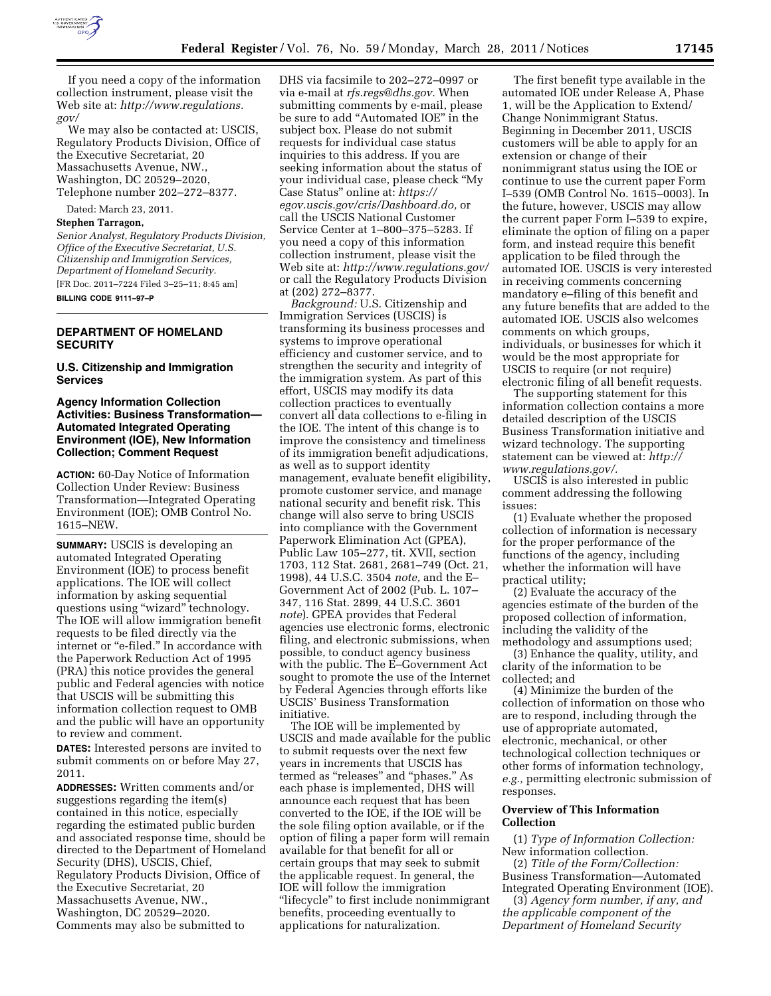

If you need a copy of the information collection instrument, please visit the Web site at: *[http://www.regulations.](http://www.regulations.gov/)  [gov/](http://www.regulations.gov/)* 

We may also be contacted at: USCIS, Regulatory Products Division, Office of the Executive Secretariat, 20 Massachusetts Avenue, NW., Washington, DC 20529–2020, Telephone number 202–272–8377.

Dated: March 23, 2011.

#### **Stephen Tarragon,**

*Senior Analyst, Regulatory Products Division, Office of the Executive Secretariat, U.S. Citizenship and Immigration Services, Department of Homeland Security.* 

[FR Doc. 2011–7224 Filed 3–25–11; 8:45 am] **BILLING CODE 9111–97–P** 

# **DEPARTMENT OF HOMELAND SECURITY**

**U.S. Citizenship and Immigration Services** 

# **Agency Information Collection Activities: Business Transformation— Automated Integrated Operating Environment (IOE), New Information Collection; Comment Request**

**ACTION:** 60-Day Notice of Information Collection Under Review: Business Transformation—Integrated Operating Environment (IOE); OMB Control No. 1615–NEW.

**SUMMARY:** USCIS is developing an automated Integrated Operating Environment (IOE) to process benefit applications. The IOE will collect information by asking sequential questions using "wizard" technology. The IOE will allow immigration benefit requests to be filed directly via the internet or "e-filed." In accordance with the Paperwork Reduction Act of 1995 (PRA) this notice provides the general public and Federal agencies with notice that USCIS will be submitting this information collection request to OMB and the public will have an opportunity to review and comment.

**DATES:** Interested persons are invited to submit comments on or before May 27, 2011.

**ADDRESSES:** Written comments and/or suggestions regarding the item(s) contained in this notice, especially regarding the estimated public burden and associated response time, should be directed to the Department of Homeland Security (DHS), USCIS, Chief, Regulatory Products Division, Office of the Executive Secretariat, 20 Massachusetts Avenue, NW., Washington, DC 20529–2020. Comments may also be submitted to

DHS via facsimile to 202–272–0997 or via e-mail at *[rfs.regs@dhs.gov.](mailto:rfs.regs@dhs.gov)* When submitting comments by e-mail, please be sure to add ''Automated IOE'' in the subject box. Please do not submit requests for individual case status inquiries to this address. If you are seeking information about the status of your individual case, please check ''My Case Status'' online at: *[https://](https://egov.uscis.gov/cris/Dashboard.do)  [egov.uscis.gov/cris/Dashboard.do,](https://egov.uscis.gov/cris/Dashboard.do)* or call the USCIS National Customer Service Center at 1–800–375–5283. If you need a copy of this information collection instrument, please visit the Web site at: *<http://www.regulations.gov/>*  or call the Regulatory Products Division at (202) 272–8377.

*Background:* U.S. Citizenship and Immigration Services (USCIS) is transforming its business processes and systems to improve operational efficiency and customer service, and to strengthen the security and integrity of the immigration system. As part of this effort, USCIS may modify its data collection practices to eventually convert all data collections to e-filing in the IOE. The intent of this change is to improve the consistency and timeliness of its immigration benefit adjudications, as well as to support identity management, evaluate benefit eligibility, promote customer service, and manage national security and benefit risk. This change will also serve to bring USCIS into compliance with the Government Paperwork Elimination Act (GPEA), Public Law 105–277, tit. XVII, section 1703, 112 Stat. 2681, 2681–749 (Oct. 21, 1998), 44 U.S.C. 3504 *note,* and the E– Government Act of 2002 (Pub. L. 107– 347, 116 Stat. 2899, 44 U.S.C. 3601 *note*). GPEA provides that Federal agencies use electronic forms, electronic filing, and electronic submissions, when possible, to conduct agency business with the public. The E–Government Act sought to promote the use of the Internet by Federal Agencies through efforts like USCIS' Business Transformation initiative.

The IOE will be implemented by USCIS and made available for the public to submit requests over the next few years in increments that USCIS has termed as ''releases'' and ''phases.'' As each phase is implemented, DHS will announce each request that has been converted to the IOE, if the IOE will be the sole filing option available, or if the option of filing a paper form will remain available for that benefit for all or certain groups that may seek to submit the applicable request. In general, the IOE will follow the immigration "lifecycle" to first include nonimmigrant benefits, proceeding eventually to applications for naturalization.

The first benefit type available in the automated IOE under Release A, Phase 1, will be the Application to Extend/ Change Nonimmigrant Status. Beginning in December 2011, USCIS customers will be able to apply for an extension or change of their nonimmigrant status using the IOE or continue to use the current paper Form I–539 (OMB Control No. 1615–0003). In the future, however, USCIS may allow the current paper Form I–539 to expire, eliminate the option of filing on a paper form, and instead require this benefit application to be filed through the automated IOE. USCIS is very interested in receiving comments concerning mandatory e–filing of this benefit and any future benefits that are added to the automated IOE. USCIS also welcomes comments on which groups, individuals, or businesses for which it would be the most appropriate for USCIS to require (or not require) electronic filing of all benefit requests.

The supporting statement for this information collection contains a more detailed description of the USCIS Business Transformation initiative and wizard technology. The supporting statement can be viewed at: *[http://](http://www.regulations.gov/)  [www.regulations.gov/.](http://www.regulations.gov/)* 

USCIS is also interested in public comment addressing the following issues:

(1) Evaluate whether the proposed collection of information is necessary for the proper performance of the functions of the agency, including whether the information will have practical utility;

(2) Evaluate the accuracy of the agencies estimate of the burden of the proposed collection of information, including the validity of the methodology and assumptions used;

(3) Enhance the quality, utility, and clarity of the information to be collected; and

(4) Minimize the burden of the collection of information on those who are to respond, including through the use of appropriate automated, electronic, mechanical, or other technological collection techniques or other forms of information technology, *e.g.,* permitting electronic submission of responses.

### **Overview of This Information Collection**

(1) *Type of Information Collection:*  New information collection.

(2) *Title of the Form/Collection:*  Business Transformation—Automated Integrated Operating Environment (IOE).

(3) *Agency form number, if any, and the applicable component of the Department of Homeland Security*